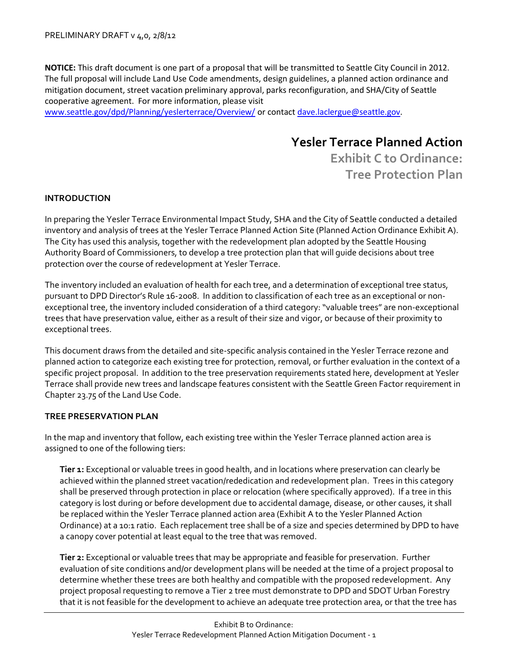**NOTICE:** This draft document is one part of a proposal that will be transmitted to Seattle City Council in 2012. The full proposal will include Land Use Code amendments, design guidelines, a planned action ordinance and mitigation document, street vacation preliminary approval, parks reconfiguration, and SHA/City of Seattle cooperative agreement. For more information, please visit

[www.seattle.gov/dpd/Planning/yeslerterrace/Overview/](http://www.seattle.gov/dpd/Planning/yeslerterrace/Overview/) or contac[t dave.laclergue@seattle.gov.](mailto:dave.laclergue@seattle.gov)

## **Yesler Terrace Planned Action**

**Exhibit C to Ordinance: Tree Protection Plan**

## **INTRODUCTION**

In preparing the Yesler Terrace Environmental Impact Study, SHA and the City of Seattle conducted a detailed inventory and analysis of trees at the Yesler Terrace Planned Action Site (Planned Action Ordinance Exhibit A). The City has used this analysis, together with the redevelopment plan adopted by the Seattle Housing Authority Board of Commissioners, to develop a tree protection plan that will guide decisions about tree protection over the course of redevelopment at Yesler Terrace.

The inventory included an evaluation of health for each tree, and a determination of exceptional tree status, pursuant to DPD Director's Rule 16-2008. In addition to classification of each tree as an exceptional or nonexceptional tree, the inventory included consideration of a third category: "valuable trees" are non-exceptional trees that have preservation value, either as a result of their size and vigor, or because of their proximity to exceptional trees.

This document draws from the detailed and site-specific analysis contained in the Yesler Terrace rezone and planned action to categorize each existing tree for protection, removal, or further evaluation in the context of a specific project proposal. In addition to the tree preservation requirements stated here, development at Yesler Terrace shall provide new trees and landscape features consistent with the Seattle Green Factor requirement in Chapter 23.75 of the Land Use Code.

## **TREE PRESERVATION PLAN**

In the map and inventory that follow, each existing tree within the Yesler Terrace planned action area is assigned to one of the following tiers:

**Tier 1:** Exceptional or valuable trees in good health, and in locations where preservation can clearly be achieved within the planned street vacation/rededication and redevelopment plan. Trees in this category shall be preserved through protection in place or relocation (where specifically approved). If a tree in this category is lost during or before development due to accidental damage, disease, or other causes, it shall be replaced within the Yesler Terrace planned action area (Exhibit A to the Yesler Planned Action Ordinance) at a 10:1 ratio. Each replacement tree shall be of a size and species determined by DPD to have a canopy cover potential at least equal to the tree that was removed.

**Tier 2:** Exceptional or valuable trees that may be appropriate and feasible for preservation. Further evaluation of site conditions and/or development plans will be needed at the time of a project proposal to determine whether these trees are both healthy and compatible with the proposed redevelopment. Any project proposal requesting to remove a Tier 2 tree must demonstrate to DPD and SDOT Urban Forestry that it is not feasible for the development to achieve an adequate tree protection area, or that the tree has